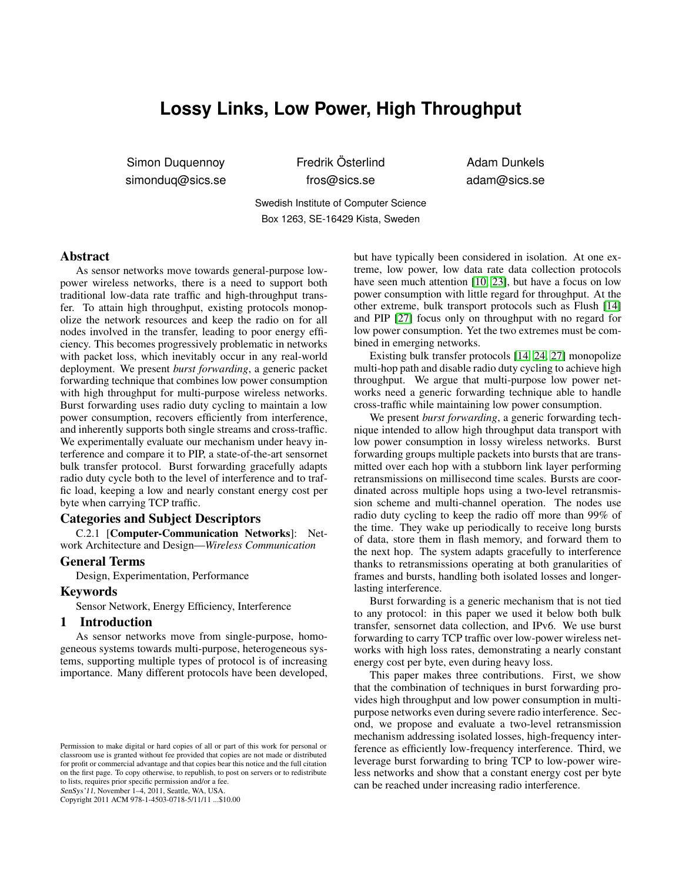# **Lossy Links, Low Power, High Throughput**

Simon Duquennoy simonduq@sics.se Fredrik Österlind fros@sics.se

Adam Dunkels adam@sics.se

Swedish Institute of Computer Science Box 1263, SE-16429 Kista, Sweden

### Abstract

As sensor networks move towards general-purpose lowpower wireless networks, there is a need to support both traditional low-data rate traffic and high-throughput transfer. To attain high throughput, existing protocols monopolize the network resources and keep the radio on for all nodes involved in the transfer, leading to poor energy efficiency. This becomes progressively problematic in networks with packet loss, which inevitably occur in any real-world deployment. We present *burst forwarding*, a generic packet forwarding technique that combines low power consumption with high throughput for multi-purpose wireless networks. Burst forwarding uses radio duty cycling to maintain a low power consumption, recovers efficiently from interference, and inherently supports both single streams and cross-traffic. We experimentally evaluate our mechanism under heavy interference and compare it to PIP, a state-of-the-art sensornet bulk transfer protocol. Burst forwarding gracefully adapts radio duty cycle both to the level of interference and to traffic load, keeping a low and nearly constant energy cost per byte when carrying TCP traffic.

## Categories and Subject Descriptors

C.2.1 [Computer-Communication Networks]: Network Architecture and Design—*Wireless Communication*

### General Terms

Design, Experimentation, Performance

#### Keywords

Sensor Network, Energy Efficiency, Interference

#### 1 Introduction

As sensor networks move from single-purpose, homogeneous systems towards multi-purpose, heterogeneous systems, supporting multiple types of protocol is of increasing importance. Many different protocols have been developed,

SenSys'11, November 1–4, 2011, Seattle, WA, USA.

Copyright 2011 ACM 978-1-4503-0718-5/11/11 ...\$10.00

but have typically been considered in isolation. At one extreme, low power, low data rate data collection protocols have seen much attention [\[10,](#page-13-0) [23\]](#page-13-1), but have a focus on low power consumption with little regard for throughput. At the other extreme, bulk transport protocols such as Flush [\[14\]](#page-13-2) and PIP [\[27\]](#page-13-3) focus only on throughput with no regard for low power consumption. Yet the two extremes must be combined in emerging networks.

Existing bulk transfer protocols [\[14,](#page-13-2) [24,](#page-13-4) [27\]](#page-13-3) monopolize multi-hop path and disable radio duty cycling to achieve high throughput. We argue that multi-purpose low power networks need a generic forwarding technique able to handle cross-traffic while maintaining low power consumption.

We present *burst forwarding*, a generic forwarding technique intended to allow high throughput data transport with low power consumption in lossy wireless networks. Burst forwarding groups multiple packets into bursts that are transmitted over each hop with a stubborn link layer performing retransmissions on millisecond time scales. Bursts are coordinated across multiple hops using a two-level retransmission scheme and multi-channel operation. The nodes use radio duty cycling to keep the radio off more than 99% of the time. They wake up periodically to receive long bursts of data, store them in flash memory, and forward them to the next hop. The system adapts gracefully to interference thanks to retransmissions operating at both granularities of frames and bursts, handling both isolated losses and longerlasting interference.

Burst forwarding is a generic mechanism that is not tied to any protocol: in this paper we used it below both bulk transfer, sensornet data collection, and IPv6. We use burst forwarding to carry TCP traffic over low-power wireless networks with high loss rates, demonstrating a nearly constant energy cost per byte, even during heavy loss.

This paper makes three contributions. First, we show that the combination of techniques in burst forwarding provides high throughput and low power consumption in multipurpose networks even during severe radio interference. Second, we propose and evaluate a two-level retransmission mechanism addressing isolated losses, high-frequency interference as efficiently low-frequency interference. Third, we leverage burst forwarding to bring TCP to low-power wireless networks and show that a constant energy cost per byte can be reached under increasing radio interference.

Permission to make digital or hard copies of all or part of this work for personal or classroom use is granted without fee provided that copies are not made or distributed for profit or commercial advantage and that copies bear this notice and the full citation on the first page. To copy otherwise, to republish, to post on servers or to redistribute to lists, requires prior specific permission and/or a fee.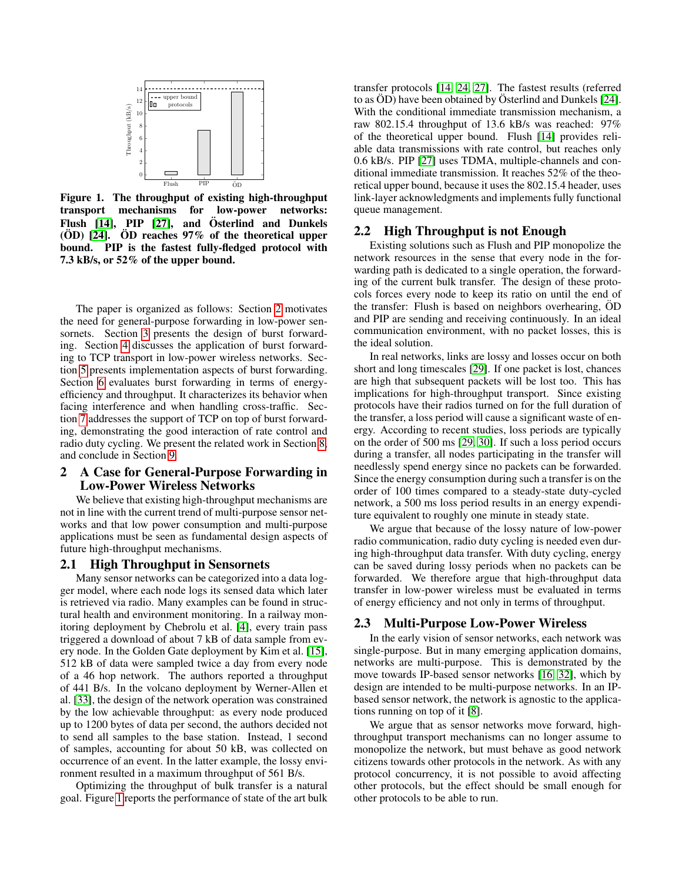

<span id="page-1-1"></span>Figure 1. The throughput of existing high-throughput transport mechanisms for low-power networks: Flush  $[14]$ , PIP  $[27]$ , and Österlind and Dunkels  $(ÖD)$  [\[24\]](#page-13-4).  $ÖD$  reaches 97% of the theoretical upper bound. PIP is the fastest fully-fledged protocol with 7.3 kB/s, or 52% of the upper bound.

The paper is organized as follows: Section [2](#page-1-0) motivates the need for general-purpose forwarding in low-power sensornets. Section [3](#page-2-0) presents the design of burst forwarding. Section [4](#page-4-0) discusses the application of burst forwarding to TCP transport in low-power wireless networks. Section [5](#page-4-1) presents implementation aspects of burst forwarding. Section [6](#page-5-0) evaluates burst forwarding in terms of energyefficiency and throughput. It characterizes its behavior when facing interference and when handling cross-traffic. Section [7](#page-9-0) addresses the support of TCP on top of burst forwarding, demonstrating the good interaction of rate control and radio duty cycling. We present the related work in Section [8,](#page-12-0) and conclude in Section [9.](#page-12-1)

# <span id="page-1-0"></span>2 A Case for General-Purpose Forwarding in Low-Power Wireless Networks

We believe that existing high-throughput mechanisms are not in line with the current trend of multi-purpose sensor networks and that low power consumption and multi-purpose applications must be seen as fundamental design aspects of future high-throughput mechanisms.

#### 2.1 High Throughput in Sensornets

Many sensor networks can be categorized into a data logger model, where each node logs its sensed data which later is retrieved via radio. Many examples can be found in structural health and environment monitoring. In a railway monitoring deployment by Chebrolu et al. [\[4\]](#page-13-5), every train pass triggered a download of about 7 kB of data sample from every node. In the Golden Gate deployment by Kim et al. [\[15\]](#page-13-6), 512 kB of data were sampled twice a day from every node of a 46 hop network. The authors reported a throughput of 441 B/s. In the volcano deployment by Werner-Allen et al. [\[33\]](#page-13-7), the design of the network operation was constrained by the low achievable throughput: as every node produced up to 1200 bytes of data per second, the authors decided not to send all samples to the base station. Instead, 1 second of samples, accounting for about 50 kB, was collected on occurrence of an event. In the latter example, the lossy environment resulted in a maximum throughput of 561 B/s.

Optimizing the throughput of bulk transfer is a natural goal. Figure [1](#page-1-1) reports the performance of state of the art bulk transfer protocols [\[14,](#page-13-2) [24,](#page-13-4) [27\]](#page-13-3). The fastest results (referred to as  $\ddot{O}D$ ) have been obtained by  $\ddot{O}$ sterlind and Dunkels [\[24\]](#page-13-4). With the conditional immediate transmission mechanism, a raw 802.15.4 throughput of 13.6 kB/s was reached: 97% of the theoretical upper bound. Flush [\[14\]](#page-13-2) provides reliable data transmissions with rate control, but reaches only 0.6 kB/s. PIP [\[27\]](#page-13-3) uses TDMA, multiple-channels and conditional immediate transmission. It reaches 52% of the theoretical upper bound, because it uses the 802.15.4 header, uses link-layer acknowledgments and implements fully functional queue management.

## 2.2 High Throughput is not Enough

Existing solutions such as Flush and PIP monopolize the network resources in the sense that every node in the forwarding path is dedicated to a single operation, the forwarding of the current bulk transfer. The design of these protocols forces every node to keep its ratio on until the end of the transfer: Flush is based on neighbors overhearing,  $\ddot{O}D$ and PIP are sending and receiving continuously. In an ideal communication environment, with no packet losses, this is the ideal solution.

In real networks, links are lossy and losses occur on both short and long timescales [\[29\]](#page-13-8). If one packet is lost, chances are high that subsequent packets will be lost too. This has implications for high-throughput transport. Since existing protocols have their radios turned on for the full duration of the transfer, a loss period will cause a significant waste of energy. According to recent studies, loss periods are typically on the order of 500 ms [\[29,](#page-13-8) [30\]](#page-13-9). If such a loss period occurs during a transfer, all nodes participating in the transfer will needlessly spend energy since no packets can be forwarded. Since the energy consumption during such a transfer is on the order of 100 times compared to a steady-state duty-cycled network, a 500 ms loss period results in an energy expenditure equivalent to roughly one minute in steady state.

We argue that because of the lossy nature of low-power radio communication, radio duty cycling is needed even during high-throughput data transfer. With duty cycling, energy can be saved during lossy periods when no packets can be forwarded. We therefore argue that high-throughput data transfer in low-power wireless must be evaluated in terms of energy efficiency and not only in terms of throughput.

## 2.3 Multi-Purpose Low-Power Wireless

In the early vision of sensor networks, each network was single-purpose. But in many emerging application domains, networks are multi-purpose. This is demonstrated by the move towards IP-based sensor networks [\[16,](#page-13-10) [32\]](#page-13-11), which by design are intended to be multi-purpose networks. In an IPbased sensor network, the network is agnostic to the applications running on top of it [\[8\]](#page-13-12).

We argue that as sensor networks move forward, highthroughput transport mechanisms can no longer assume to monopolize the network, but must behave as good network citizens towards other protocols in the network. As with any protocol concurrency, it is not possible to avoid affecting other protocols, but the effect should be small enough for other protocols to be able to run.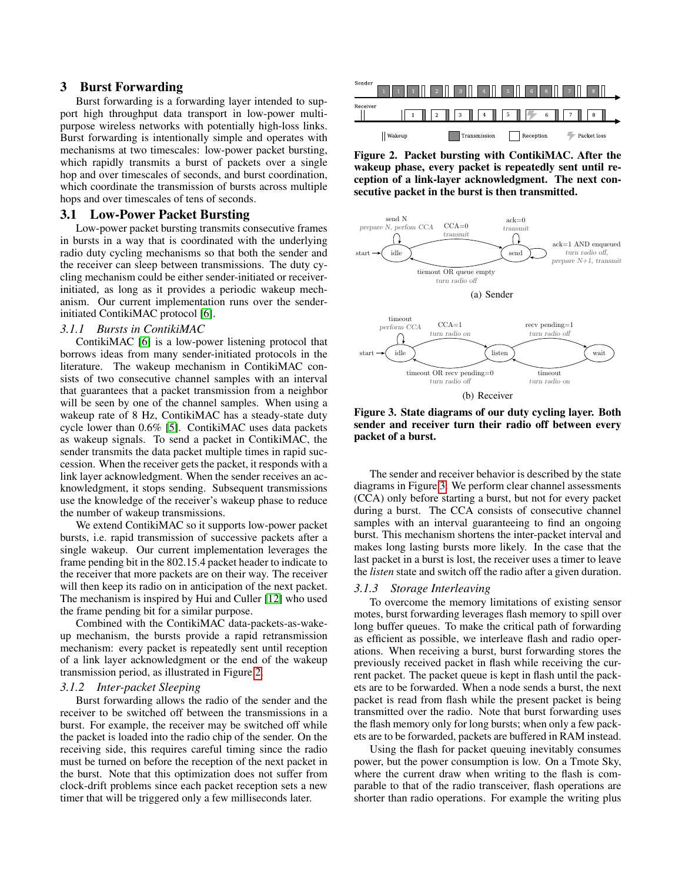## <span id="page-2-0"></span>3 Burst Forwarding

Burst forwarding is a forwarding layer intended to support high throughput data transport in low-power multipurpose wireless networks with potentially high-loss links. Burst forwarding is intentionally simple and operates with mechanisms at two timescales: low-power packet bursting, which rapidly transmits a burst of packets over a single hop and over timescales of seconds, and burst coordination, which coordinate the transmission of bursts across multiple hops and over timescales of tens of seconds.

## 3.1 Low-Power Packet Bursting

Low-power packet bursting transmits consecutive frames in bursts in a way that is coordinated with the underlying radio duty cycling mechanisms so that both the sender and the receiver can sleep between transmissions. The duty cycling mechanism could be either sender-initiated or receiverinitiated, as long as it provides a periodic wakeup mechanism. Our current implementation runs over the senderinitiated ContikiMAC protocol [\[6\]](#page-13-13).

#### *3.1.1 Bursts in ContikiMAC*

ContikiMAC [\[6\]](#page-13-13) is a low-power listening protocol that borrows ideas from many sender-initiated protocols in the literature. The wakeup mechanism in ContikiMAC consists of two consecutive channel samples with an interval that guarantees that a packet transmission from a neighbor will be seen by one of the channel samples. When using a wakeup rate of 8 Hz, ContikiMAC has a steady-state duty cycle lower than 0.6% [\[5\]](#page-13-14). ContikiMAC uses data packets as wakeup signals. To send a packet in ContikiMAC, the sender transmits the data packet multiple times in rapid succession. When the receiver gets the packet, it responds with a link layer acknowledgment. When the sender receives an acknowledgment, it stops sending. Subsequent transmissions use the knowledge of the receiver's wakeup phase to reduce the number of wakeup transmissions.

We extend ContikiMAC so it supports low-power packet bursts, i.e. rapid transmission of successive packets after a single wakeup. Our current implementation leverages the frame pending bit in the 802.15.4 packet header to indicate to the receiver that more packets are on their way. The receiver will then keep its radio on in anticipation of the next packet. The mechanism is inspired by Hui and Culler [\[12\]](#page-13-15) who used the frame pending bit for a similar purpose.

Combined with the ContikiMAC data-packets-as-wakeup mechanism, the bursts provide a rapid retransmission mechanism: every packet is repeatedly sent until reception of a link layer acknowledgment or the end of the wakeup transmission period, as illustrated in Figure [2.](#page-2-1)

#### *3.1.2 Inter-packet Sleeping*

Burst forwarding allows the radio of the sender and the receiver to be switched off between the transmissions in a burst. For example, the receiver may be switched off while the packet is loaded into the radio chip of the sender. On the receiving side, this requires careful timing since the radio must be turned on before the reception of the next packet in the burst. Note that this optimization does not suffer from clock-drift problems since each packet reception sets a new timer that will be triggered only a few milliseconds later.



<span id="page-2-1"></span>Figure 2. Packet bursting with ContikiMAC. After the wakeup phase, every packet is repeatedly sent until reception of a link-layer acknowledgment. The next consecutive packet in the burst is then transmitted.



(b) Receiver

<span id="page-2-2"></span>Figure 3. State diagrams of our duty cycling layer. Both sender and receiver turn their radio off between every packet of a burst.

The sender and receiver behavior is described by the state diagrams in Figure [3.](#page-2-2) We perform clear channel assessments (CCA) only before starting a burst, but not for every packet during a burst. The CCA consists of consecutive channel samples with an interval guaranteeing to find an ongoing burst. This mechanism shortens the inter-packet interval and makes long lasting bursts more likely. In the case that the last packet in a burst is lost, the receiver uses a timer to leave the *listen* state and switch off the radio after a given duration.

#### *3.1.3 Storage Interleaving*

To overcome the memory limitations of existing sensor motes, burst forwarding leverages flash memory to spill over long buffer queues. To make the critical path of forwarding as efficient as possible, we interleave flash and radio operations. When receiving a burst, burst forwarding stores the previously received packet in flash while receiving the current packet. The packet queue is kept in flash until the packets are to be forwarded. When a node sends a burst, the next packet is read from flash while the present packet is being transmitted over the radio. Note that burst forwarding uses the flash memory only for long bursts; when only a few packets are to be forwarded, packets are buffered in RAM instead.

Using the flash for packet queuing inevitably consumes power, but the power consumption is low. On a Tmote Sky, where the current draw when writing to the flash is comparable to that of the radio transceiver, flash operations are shorter than radio operations. For example the writing plus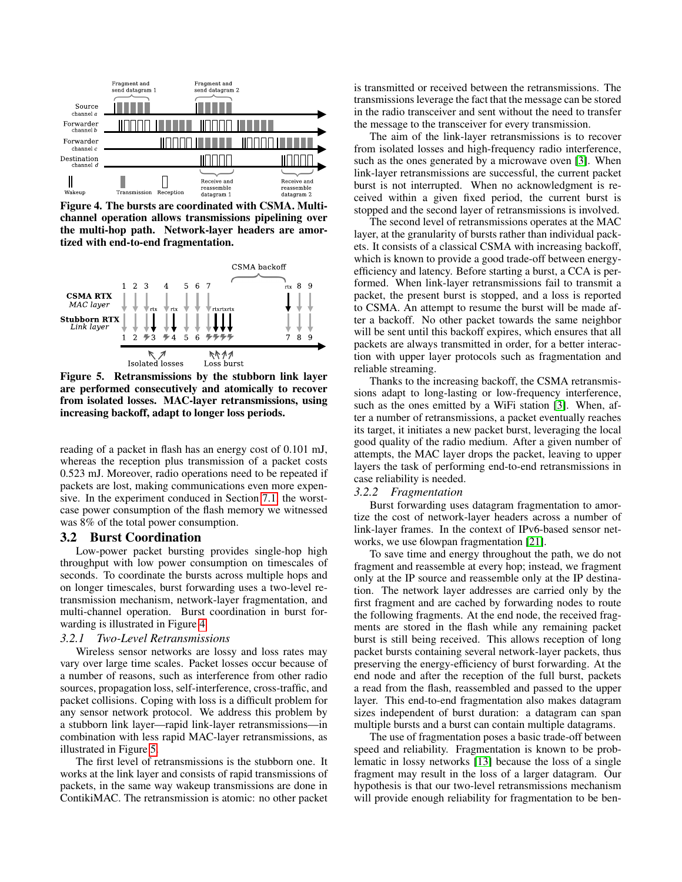

<span id="page-3-0"></span>Figure 4. The bursts are coordinated with CSMA. Multichannel operation allows transmissions pipelining over the multi-hop path. Network-layer headers are amortized with end-to-end fragmentation.



<span id="page-3-1"></span>Figure 5. Retransmissions by the stubborn link layer are performed consecutively and atomically to recover from isolated losses. MAC-layer retransmissions, using increasing backoff, adapt to longer loss periods.

reading of a packet in flash has an energy cost of 0.101 mJ, whereas the reception plus transmission of a packet costs 0.523 mJ. Moreover, radio operations need to be repeated if packets are lost, making communications even more expensive. In the experiment conduced in Section [7.1,](#page-10-0) the worstcase power consumption of the flash memory we witnessed was 8% of the total power consumption.

#### 3.2 Burst Coordination

Low-power packet bursting provides single-hop high throughput with low power consumption on timescales of seconds. To coordinate the bursts across multiple hops and on longer timescales, burst forwarding uses a two-level retransmission mechanism, network-layer fragmentation, and multi-channel operation. Burst coordination in burst forwarding is illustrated in Figure [4.](#page-3-0)

#### *3.2.1 Two-Level Retransmissions*

Wireless sensor networks are lossy and loss rates may vary over large time scales. Packet losses occur because of a number of reasons, such as interference from other radio sources, propagation loss, self-interference, cross-traffic, and packet collisions. Coping with loss is a difficult problem for any sensor network protocol. We address this problem by a stubborn link layer—rapid link-layer retransmissions—in combination with less rapid MAC-layer retransmissions, as illustrated in Figure [5.](#page-3-1)

The first level of retransmissions is the stubborn one. It works at the link layer and consists of rapid transmissions of packets, in the same way wakeup transmissions are done in ContikiMAC. The retransmission is atomic: no other packet is transmitted or received between the retransmissions. The transmissions leverage the fact that the message can be stored in the radio transceiver and sent without the need to transfer the message to the transceiver for every transmission.

The aim of the link-layer retransmissions is to recover from isolated losses and high-frequency radio interference, such as the ones generated by a microwave oven [\[3\]](#page-13-16). When link-layer retransmissions are successful, the current packet burst is not interrupted. When no acknowledgment is received within a given fixed period, the current burst is stopped and the second layer of retransmissions is involved.

The second level of retransmissions operates at the MAC layer, at the granularity of bursts rather than individual packets. It consists of a classical CSMA with increasing backoff, which is known to provide a good trade-off between energyefficiency and latency. Before starting a burst, a CCA is performed. When link-layer retransmissions fail to transmit a packet, the present burst is stopped, and a loss is reported to CSMA. An attempt to resume the burst will be made after a backoff. No other packet towards the same neighbor will be sent until this backoff expires, which ensures that all packets are always transmitted in order, for a better interaction with upper layer protocols such as fragmentation and reliable streaming.

Thanks to the increasing backoff, the CSMA retransmissions adapt to long-lasting or low-frequency interference, such as the ones emitted by a WiFi station [\[3\]](#page-13-16). When, after a number of retransmissions, a packet eventually reaches its target, it initiates a new packet burst, leveraging the local good quality of the radio medium. After a given number of attempts, the MAC layer drops the packet, leaving to upper layers the task of performing end-to-end retransmissions in case reliability is needed.

#### *3.2.2 Fragmentation*

Burst forwarding uses datagram fragmentation to amortize the cost of network-layer headers across a number of link-layer frames. In the context of IPv6-based sensor networks, we use 6lowpan fragmentation [\[21\]](#page-13-17).

To save time and energy throughout the path, we do not fragment and reassemble at every hop; instead, we fragment only at the IP source and reassemble only at the IP destination. The network layer addresses are carried only by the first fragment and are cached by forwarding nodes to route the following fragments. At the end node, the received fragments are stored in the flash while any remaining packet burst is still being received. This allows reception of long packet bursts containing several network-layer packets, thus preserving the energy-efficiency of burst forwarding. At the end node and after the reception of the full burst, packets a read from the flash, reassembled and passed to the upper layer. This end-to-end fragmentation also makes datagram sizes independent of burst duration: a datagram can span multiple bursts and a burst can contain multiple datagrams.

The use of fragmentation poses a basic trade-off between speed and reliability. Fragmentation is known to be problematic in lossy networks [\[13\]](#page-13-18) because the loss of a single fragment may result in the loss of a larger datagram. Our hypothesis is that our two-level retransmissions mechanism will provide enough reliability for fragmentation to be ben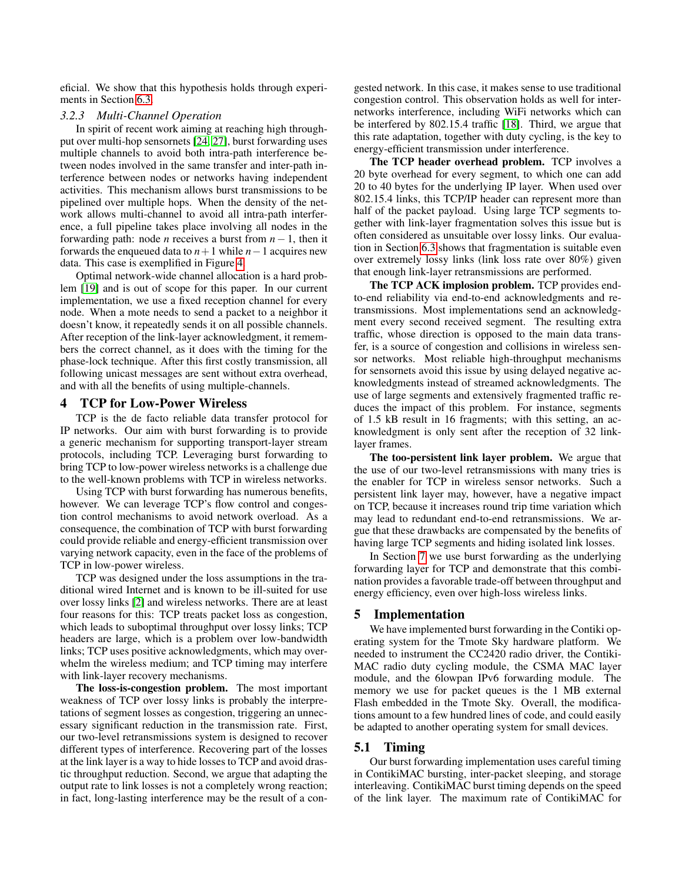eficial. We show that this hypothesis holds through experiments in Section [6.3.](#page-7-0)

#### *3.2.3 Multi-Channel Operation*

In spirit of recent work aiming at reaching high throughput over multi-hop sensornets [\[24,](#page-13-4) [27\]](#page-13-3), burst forwarding uses multiple channels to avoid both intra-path interference between nodes involved in the same transfer and inter-path interference between nodes or networks having independent activities. This mechanism allows burst transmissions to be pipelined over multiple hops. When the density of the network allows multi-channel to avoid all intra-path interference, a full pipeline takes place involving all nodes in the forwarding path: node *n* receives a burst from *n*−1, then it forwards the enqueued data to  $n+1$  while  $n-1$  acquires new data. This case is exemplified in Figure [4.](#page-3-0)

Optimal network-wide channel allocation is a hard problem [\[19\]](#page-13-19) and is out of scope for this paper. In our current implementation, we use a fixed reception channel for every node. When a mote needs to send a packet to a neighbor it doesn't know, it repeatedly sends it on all possible channels. After reception of the link-layer acknowledgment, it remembers the correct channel, as it does with the timing for the phase-lock technique. After this first costly transmission, all following unicast messages are sent without extra overhead, and with all the benefits of using multiple-channels.

## <span id="page-4-0"></span>4 TCP for Low-Power Wireless

TCP is the de facto reliable data transfer protocol for IP networks. Our aim with burst forwarding is to provide a generic mechanism for supporting transport-layer stream protocols, including TCP. Leveraging burst forwarding to bring TCP to low-power wireless networks is a challenge due to the well-known problems with TCP in wireless networks.

Using TCP with burst forwarding has numerous benefits, however. We can leverage TCP's flow control and congestion control mechanisms to avoid network overload. As a consequence, the combination of TCP with burst forwarding could provide reliable and energy-efficient transmission over varying network capacity, even in the face of the problems of TCP in low-power wireless.

TCP was designed under the loss assumptions in the traditional wired Internet and is known to be ill-suited for use over lossy links [\[2\]](#page-13-20) and wireless networks. There are at least four reasons for this: TCP treats packet loss as congestion, which leads to suboptimal throughput over lossy links; TCP headers are large, which is a problem over low-bandwidth links; TCP uses positive acknowledgments, which may overwhelm the wireless medium; and TCP timing may interfere with link-layer recovery mechanisms.

The loss-is-congestion problem. The most important weakness of TCP over lossy links is probably the interpretations of segment losses as congestion, triggering an unnecessary significant reduction in the transmission rate. First, our two-level retransmissions system is designed to recover different types of interference. Recovering part of the losses at the link layer is a way to hide losses to TCP and avoid drastic throughput reduction. Second, we argue that adapting the output rate to link losses is not a completely wrong reaction; in fact, long-lasting interference may be the result of a con-

gested network. In this case, it makes sense to use traditional congestion control. This observation holds as well for internetworks interference, including WiFi networks which can be interfered by 802.15.4 traffic [\[18\]](#page-13-21). Third, we argue that this rate adaptation, together with duty cycling, is the key to energy-efficient transmission under interference.

The TCP header overhead problem. TCP involves a 20 byte overhead for every segment, to which one can add 20 to 40 bytes for the underlying IP layer. When used over 802.15.4 links, this TCP/IP header can represent more than half of the packet payload. Using large TCP segments together with link-layer fragmentation solves this issue but is often considered as unsuitable over lossy links. Our evaluation in Section [6.3](#page-7-0) shows that fragmentation is suitable even over extremely lossy links (link loss rate over 80%) given that enough link-layer retransmissions are performed.

The TCP ACK implosion problem. TCP provides endto-end reliability via end-to-end acknowledgments and retransmissions. Most implementations send an acknowledgment every second received segment. The resulting extra traffic, whose direction is opposed to the main data transfer, is a source of congestion and collisions in wireless sensor networks. Most reliable high-throughput mechanisms for sensornets avoid this issue by using delayed negative acknowledgments instead of streamed acknowledgments. The use of large segments and extensively fragmented traffic reduces the impact of this problem. For instance, segments of 1.5 kB result in 16 fragments; with this setting, an acknowledgment is only sent after the reception of 32 linklayer frames.

The too-persistent link layer problem. We argue that the use of our two-level retransmissions with many tries is the enabler for TCP in wireless sensor networks. Such a persistent link layer may, however, have a negative impact on TCP, because it increases round trip time variation which may lead to redundant end-to-end retransmissions. We argue that these drawbacks are compensated by the benefits of having large TCP segments and hiding isolated link losses.

In Section [7](#page-9-0) we use burst forwarding as the underlying forwarding layer for TCP and demonstrate that this combination provides a favorable trade-off between throughput and energy efficiency, even over high-loss wireless links.

#### <span id="page-4-1"></span>5 Implementation

We have implemented burst forwarding in the Contiki operating system for the Tmote Sky hardware platform. We needed to instrument the CC2420 radio driver, the Contiki-MAC radio duty cycling module, the CSMA MAC layer module, and the 6lowpan IPv6 forwarding module. The memory we use for packet queues is the 1 MB external Flash embedded in the Tmote Sky. Overall, the modifications amount to a few hundred lines of code, and could easily be adapted to another operating system for small devices.

#### 5.1 Timing

Our burst forwarding implementation uses careful timing in ContikiMAC bursting, inter-packet sleeping, and storage interleaving. ContikiMAC burst timing depends on the speed of the link layer. The maximum rate of ContikiMAC for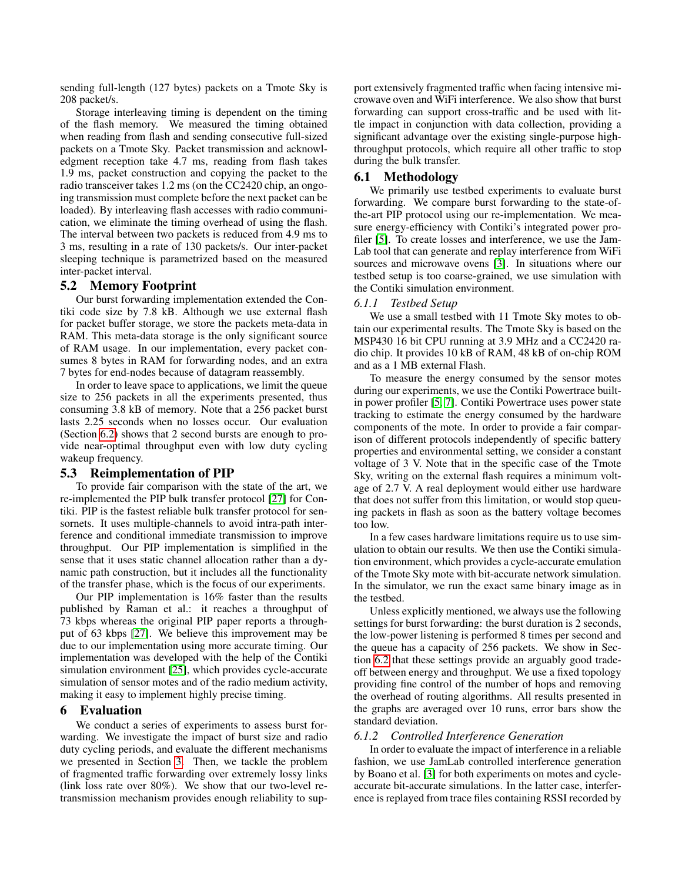sending full-length (127 bytes) packets on a Tmote Sky is 208 packet/s.

Storage interleaving timing is dependent on the timing of the flash memory. We measured the timing obtained when reading from flash and sending consecutive full-sized packets on a Tmote Sky. Packet transmission and acknowledgment reception take 4.7 ms, reading from flash takes 1.9 ms, packet construction and copying the packet to the radio transceiver takes 1.2 ms (on the CC2420 chip, an ongoing transmission must complete before the next packet can be loaded). By interleaving flash accesses with radio communication, we eliminate the timing overhead of using the flash. The interval between two packets is reduced from 4.9 ms to 3 ms, resulting in a rate of 130 packets/s. Our inter-packet sleeping technique is parametrized based on the measured inter-packet interval.

### 5.2 Memory Footprint

Our burst forwarding implementation extended the Contiki code size by 7.8 kB. Although we use external flash for packet buffer storage, we store the packets meta-data in RAM. This meta-data storage is the only significant source of RAM usage. In our implementation, every packet consumes 8 bytes in RAM for forwarding nodes, and an extra 7 bytes for end-nodes because of datagram reassembly.

In order to leave space to applications, we limit the queue size to 256 packets in all the experiments presented, thus consuming 3.8 kB of memory. Note that a 256 packet burst lasts 2.25 seconds when no losses occur. Our evaluation (Section [6.2\)](#page-6-0) shows that 2 second bursts are enough to provide near-optimal throughput even with low duty cycling wakeup frequency.

## 5.3 Reimplementation of PIP

To provide fair comparison with the state of the art, we re-implemented the PIP bulk transfer protocol [\[27\]](#page-13-3) for Contiki. PIP is the fastest reliable bulk transfer protocol for sensornets. It uses multiple-channels to avoid intra-path interference and conditional immediate transmission to improve throughput. Our PIP implementation is simplified in the sense that it uses static channel allocation rather than a dynamic path construction, but it includes all the functionality of the transfer phase, which is the focus of our experiments.

Our PIP implementation is 16% faster than the results published by Raman et al.: it reaches a throughput of 73 kbps whereas the original PIP paper reports a throughput of 63 kbps [\[27\]](#page-13-3). We believe this improvement may be due to our implementation using more accurate timing. Our implementation was developed with the help of the Contiki simulation environment [\[25\]](#page-13-22), which provides cycle-accurate simulation of sensor motes and of the radio medium activity, making it easy to implement highly precise timing.

### <span id="page-5-0"></span>6 Evaluation

We conduct a series of experiments to assess burst forwarding. We investigate the impact of burst size and radio duty cycling periods, and evaluate the different mechanisms we presented in Section [3.](#page-2-0) Then, we tackle the problem of fragmented traffic forwarding over extremely lossy links (link loss rate over 80%). We show that our two-level retransmission mechanism provides enough reliability to support extensively fragmented traffic when facing intensive microwave oven and WiFi interference. We also show that burst forwarding can support cross-traffic and be used with little impact in conjunction with data collection, providing a significant advantage over the existing single-purpose highthroughput protocols, which require all other traffic to stop during the bulk transfer.

#### 6.1 Methodology

We primarily use testbed experiments to evaluate burst forwarding. We compare burst forwarding to the state-ofthe-art PIP protocol using our re-implementation. We measure energy-efficiency with Contiki's integrated power profiler [\[5\]](#page-13-14). To create losses and interference, we use the Jam-Lab tool that can generate and replay interference from WiFi sources and microwave ovens [\[3\]](#page-13-16). In situations where our testbed setup is too coarse-grained, we use simulation with the Contiki simulation environment.

#### *6.1.1 Testbed Setup*

We use a small testbed with 11 Tmote Sky motes to obtain our experimental results. The Tmote Sky is based on the MSP430 16 bit CPU running at 3.9 MHz and a CC2420 radio chip. It provides 10 kB of RAM, 48 kB of on-chip ROM and as a 1 MB external Flash.

To measure the energy consumed by the sensor motes during our experiments, we use the Contiki Powertrace builtin power profiler [\[5,](#page-13-14) [7\]](#page-13-23). Contiki Powertrace uses power state tracking to estimate the energy consumed by the hardware components of the mote. In order to provide a fair comparison of different protocols independently of specific battery properties and environmental setting, we consider a constant voltage of 3 V. Note that in the specific case of the Tmote Sky, writing on the external flash requires a minimum voltage of 2.7 V. A real deployment would either use hardware that does not suffer from this limitation, or would stop queuing packets in flash as soon as the battery voltage becomes too low.

In a few cases hardware limitations require us to use simulation to obtain our results. We then use the Contiki simulation environment, which provides a cycle-accurate emulation of the Tmote Sky mote with bit-accurate network simulation. In the simulator, we run the exact same binary image as in the testbed.

Unless explicitly mentioned, we always use the following settings for burst forwarding: the burst duration is 2 seconds, the low-power listening is performed 8 times per second and the queue has a capacity of 256 packets. We show in Section [6.2](#page-6-0) that these settings provide an arguably good tradeoff between energy and throughput. We use a fixed topology providing fine control of the number of hops and removing the overhead of routing algorithms. All results presented in the graphs are averaged over 10 runs, error bars show the standard deviation.

#### *6.1.2 Controlled Interference Generation*

In order to evaluate the impact of interference in a reliable fashion, we use JamLab controlled interference generation by Boano et al. [\[3\]](#page-13-16) for both experiments on motes and cycleaccurate bit-accurate simulations. In the latter case, interference is replayed from trace files containing RSSI recorded by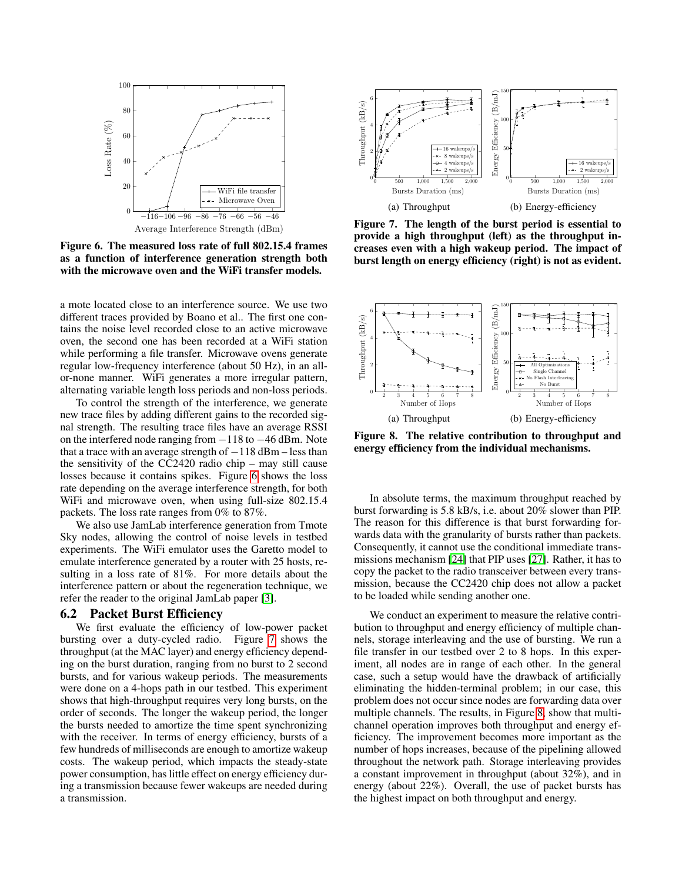

<span id="page-6-1"></span>Figure 6. The measured loss rate of full 802.15.4 frames as a function of interference generation strength both with the microwave oven and the WiFi transfer models.

a mote located close to an interference source. We use two different traces provided by Boano et al.. The first one contains the noise level recorded close to an active microwave oven, the second one has been recorded at a WiFi station while performing a file transfer. Microwave ovens generate regular low-frequency interference (about 50 Hz), in an allor-none manner. WiFi generates a more irregular pattern, alternating variable length loss periods and non-loss periods.

To control the strength of the interference, we generate new trace files by adding different gains to the recorded signal strength. The resulting trace files have an average RSSI on the interfered node ranging from −118 to −46 dBm. Note that a trace with an average strength of  $-118$  dBm – less than the sensitivity of the CC2420 radio chip – may still cause losses because it contains spikes. Figure [6](#page-6-1) shows the loss rate depending on the average interference strength, for both WiFi and microwave oven, when using full-size 802.15.4 packets. The loss rate ranges from 0% to 87%.

We also use JamLab interference generation from Tmote Sky nodes, allowing the control of noise levels in testbed experiments. The WiFi emulator uses the Garetto model to emulate interference generated by a router with 25 hosts, resulting in a loss rate of 81%. For more details about the interference pattern or about the regeneration technique, we refer the reader to the original JamLab paper [\[3\]](#page-13-16).

### <span id="page-6-0"></span>6.2 Packet Burst Efficiency

We first evaluate the efficiency of low-power packet bursting over a duty-cycled radio. Figure [7](#page-6-2) shows the throughput (at the MAC layer) and energy efficiency depending on the burst duration, ranging from no burst to 2 second bursts, and for various wakeup periods. The measurements were done on a 4-hops path in our testbed. This experiment shows that high-throughput requires very long bursts, on the order of seconds. The longer the wakeup period, the longer the bursts needed to amortize the time spent synchronizing with the receiver. In terms of energy efficiency, bursts of a few hundreds of milliseconds are enough to amortize wakeup costs. The wakeup period, which impacts the steady-state power consumption, has little effect on energy efficiency during a transmission because fewer wakeups are needed during a transmission.



<span id="page-6-2"></span>Figure 7. The length of the burst period is essential to provide a high throughput (left) as the throughput increases even with a high wakeup period. The impact of burst length on energy efficiency (right) is not as evident.



<span id="page-6-3"></span>Figure 8. The relative contribution to throughput and energy efficiency from the individual mechanisms.

In absolute terms, the maximum throughput reached by burst forwarding is 5.8 kB/s, i.e. about 20% slower than PIP. The reason for this difference is that burst forwarding forwards data with the granularity of bursts rather than packets. Consequently, it cannot use the conditional immediate transmissions mechanism [\[24\]](#page-13-4) that PIP uses [\[27\]](#page-13-3). Rather, it has to copy the packet to the radio transceiver between every transmission, because the CC2420 chip does not allow a packet to be loaded while sending another one.

We conduct an experiment to measure the relative contribution to throughput and energy efficiency of multiple channels, storage interleaving and the use of bursting. We run a file transfer in our testbed over 2 to 8 hops. In this experiment, all nodes are in range of each other. In the general case, such a setup would have the drawback of artificially eliminating the hidden-terminal problem; in our case, this problem does not occur since nodes are forwarding data over multiple channels. The results, in Figure [8,](#page-6-3) show that multichannel operation improves both throughput and energy efficiency. The improvement becomes more important as the number of hops increases, because of the pipelining allowed throughout the network path. Storage interleaving provides a constant improvement in throughput (about 32%), and in energy (about 22%). Overall, the use of packet bursts has the highest impact on both throughput and energy.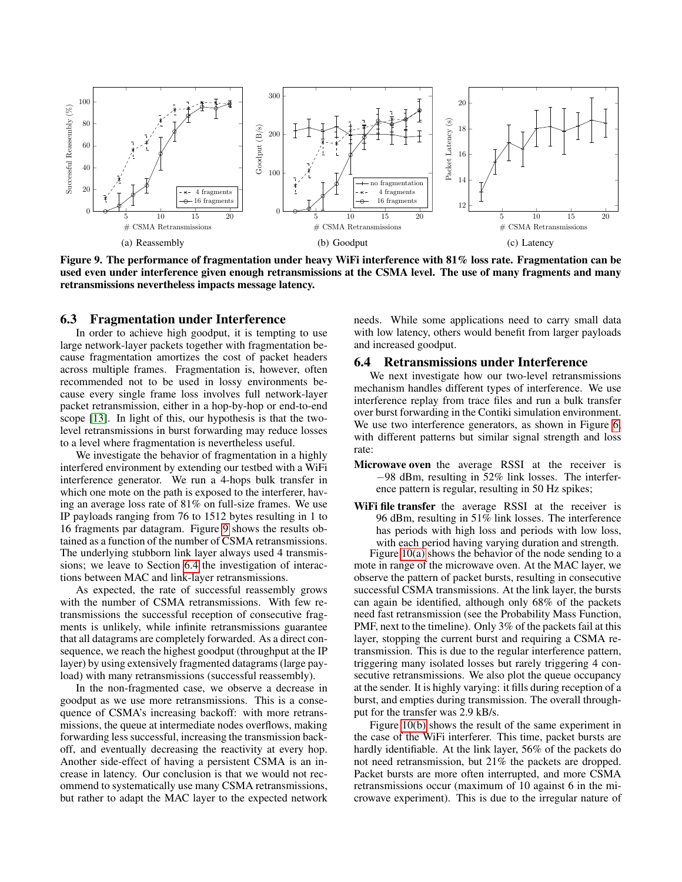

<span id="page-7-1"></span>Figure 9. The performance of fragmentation under heavy WiFi interference with 81% loss rate. Fragmentation can be used even under interference given enough retransmissions at the CSMA level. The use of many fragments and many retransmissions nevertheless impacts message latency.

#### <span id="page-7-0"></span>6.3 Fragmentation under Interference

In order to achieve high goodput, it is tempting to use large network-layer packets together with fragmentation because fragmentation amortizes the cost of packet headers across multiple frames. Fragmentation is, however, often recommended not to be used in lossy environments because every single frame loss involves full network-layer packet retransmission, either in a hop-by-hop or end-to-end scope [\[13\]](#page-13-18). In light of this, our hypothesis is that the twolevel retransmissions in burst forwarding may reduce losses to a level where fragmentation is nevertheless useful.

We investigate the behavior of fragmentation in a highly interfered environment by extending our testbed with a WiFi interference generator. We run a 4-hops bulk transfer in which one mote on the path is exposed to the interferer, having an average loss rate of 81% on full-size frames. We use IP payloads ranging from 76 to 1512 bytes resulting in 1 to 16 fragments par datagram. Figure [9](#page-7-1) shows the results obtained as a function of the number of CSMA retransmissions. The underlying stubborn link layer always used 4 transmissions; we leave to Section [6.4](#page-7-2) the investigation of interactions between MAC and link-layer retransmissions.

As expected, the rate of successful reassembly grows with the number of CSMA retransmissions. With few retransmissions the successful reception of consecutive fragments is unlikely, while infinite retransmissions guarantee that all datagrams are completely forwarded. As a direct consequence, we reach the highest goodput (throughput at the IP layer) by using extensively fragmented datagrams (large payload) with many retransmissions (successful reassembly).

In the non-fragmented case, we observe a decrease in goodput as we use more retransmissions. This is a consequence of CSMA's increasing backoff: with more retransmissions, the queue at intermediate nodes overflows, making forwarding less successful, increasing the transmission backoff, and eventually decreasing the reactivity at every hop. Another side-effect of having a persistent CSMA is an increase in latency. Our conclusion is that we would not recommend to systematically use many CSMA retransmissions, but rather to adapt the MAC layer to the expected network

needs. While some applications need to carry small data with low latency, others would benefit from larger payloads and increased goodput.

## <span id="page-7-2"></span>6.4 Retransmissions under Interference

We next investigate how our two-level retransmissions mechanism handles different types of interference. We use interference replay from trace files and run a bulk transfer over burst forwarding in the Contiki simulation environment. We use two interference generators, as shown in Figure [6,](#page-6-1) with different patterns but similar signal strength and loss rate:

- Microwave oven the average RSSI at the receiver is −98 dBm, resulting in 52% link losses. The interference pattern is regular, resulting in 50 Hz spikes;
- WiFi file transfer the average RSSI at the receiver is 96 dBm, resulting in 51% link losses. The interference has periods with high loss and periods with low loss, with each period having varying duration and strength. Figure [10\(a\)](#page-8-0) shows the behavior of the node sending to a

mote in range of the microwave oven. At the MAC layer, we observe the pattern of packet bursts, resulting in consecutive successful CSMA transmissions. At the link layer, the bursts can again be identified, although only 68% of the packets need fast retransmission (see the Probability Mass Function, PMF, next to the timeline). Only 3% of the packets fail at this layer, stopping the current burst and requiring a CSMA retransmission. This is due to the regular interference pattern, triggering many isolated losses but rarely triggering 4 consecutive retransmissions. We also plot the queue occupancy at the sender. It is highly varying: it fills during reception of a burst, and empties during transmission. The overall throughput for the transfer was 2.9 kB/s.

Figure [10\(b\)](#page-8-1) shows the result of the same experiment in the case of the WiFi interferer. This time, packet bursts are hardly identifiable. At the link layer, 56% of the packets do not need retransmission, but 21% the packets are dropped. Packet bursts are more often interrupted, and more CSMA retransmissions occur (maximum of 10 against 6 in the microwave experiment). This is due to the irregular nature of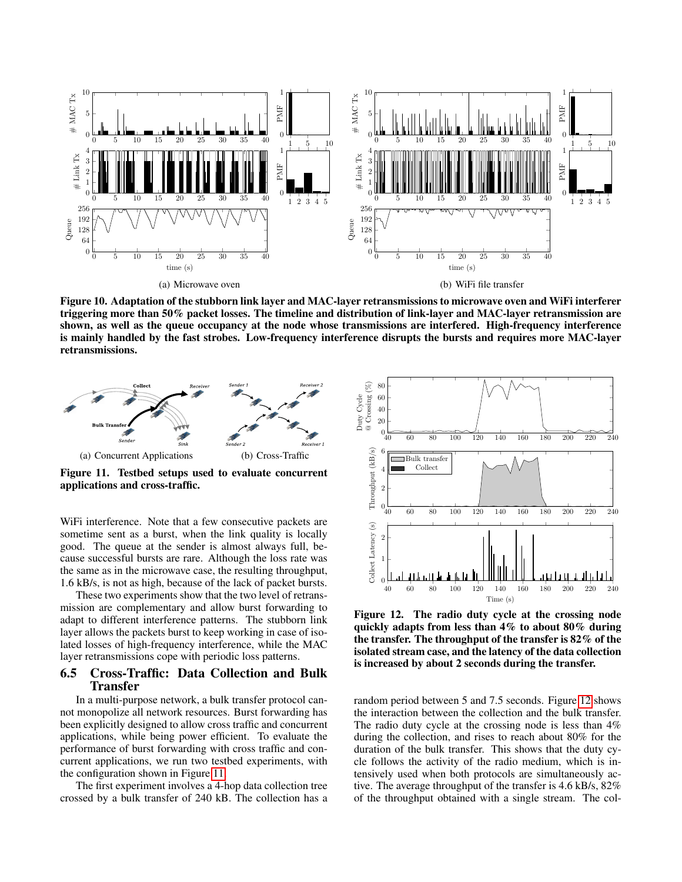<span id="page-8-0"></span>

Figure 10. Adaptation of the stubborn link layer and MAC-layer retransmissions to microwave oven and WiFi interferer triggering more than 50% packet losses. The timeline and distribution of link-layer and MAC-layer retransmission are shown, as well as the queue occupancy at the node whose transmissions are interfered. High-frequency interference is mainly handled by the fast strobes. Low-frequency interference disrupts the bursts and requires more MAC-layer retransmissions.



<span id="page-8-2"></span>Figure 11. Testbed setups used to evaluate concurrent applications and cross-traffic.

WiFi interference. Note that a few consecutive packets are sometime sent as a burst, when the link quality is locally good. The queue at the sender is almost always full, because successful bursts are rare. Although the loss rate was the same as in the microwave case, the resulting throughput, 1.6 kB/s, is not as high, because of the lack of packet bursts.

These two experiments show that the two level of retransmission are complementary and allow burst forwarding to adapt to different interference patterns. The stubborn link layer allows the packets burst to keep working in case of isolated losses of high-frequency interference, while the MAC layer retransmissions cope with periodic loss patterns.

## 6.5 Cross-Traffic: Data Collection and Bulk Transfer

In a multi-purpose network, a bulk transfer protocol cannot monopolize all network resources. Burst forwarding has been explicitly designed to allow cross traffic and concurrent applications, while being power efficient. To evaluate the performance of burst forwarding with cross traffic and concurrent applications, we run two testbed experiments, with the configuration shown in Figure [11.](#page-8-2)

The first experiment involves a 4-hop data collection tree crossed by a bulk transfer of 240 kB. The collection has a

<span id="page-8-1"></span>

<span id="page-8-3"></span>Figure 12. The radio duty cycle at the crossing node quickly adapts from less than 4% to about 80% during the transfer. The throughput of the transfer is 82% of the isolated stream case, and the latency of the data collection is increased by about 2 seconds during the transfer.

random period between 5 and 7.5 seconds. Figure [12](#page-8-3) shows the interaction between the collection and the bulk transfer. The radio duty cycle at the crossing node is less than 4% during the collection, and rises to reach about 80% for the duration of the bulk transfer. This shows that the duty cycle follows the activity of the radio medium, which is intensively used when both protocols are simultaneously active. The average throughput of the transfer is 4.6 kB/s, 82% of the throughput obtained with a single stream. The col-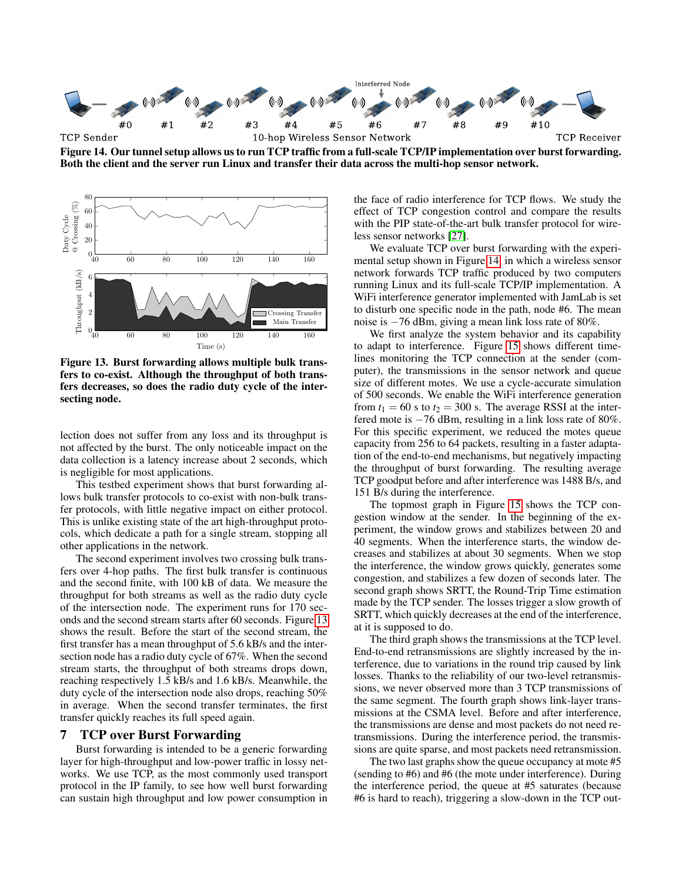

<span id="page-9-2"></span>Figure 14. Our tunnel setup allows us to run TCP traffic from a full-scale TCP/IP implementation over burst forwarding. Both the client and the server run Linux and transfer their data across the multi-hop sensor network.



<span id="page-9-1"></span>Figure 13. Burst forwarding allows multiple bulk transfers to co-exist. Although the throughput of both transfers decreases, so does the radio duty cycle of the intersecting node.

lection does not suffer from any loss and its throughput is not affected by the burst. The only noticeable impact on the data collection is a latency increase about 2 seconds, which is negligible for most applications.

This testbed experiment shows that burst forwarding allows bulk transfer protocols to co-exist with non-bulk transfer protocols, with little negative impact on either protocol. This is unlike existing state of the art high-throughput protocols, which dedicate a path for a single stream, stopping all other applications in the network.

The second experiment involves two crossing bulk transfers over 4-hop paths. The first bulk transfer is continuous and the second finite, with 100 kB of data. We measure the throughput for both streams as well as the radio duty cycle of the intersection node. The experiment runs for 170 seconds and the second stream starts after 60 seconds. Figure [13](#page-9-1) shows the result. Before the start of the second stream, the first transfer has a mean throughput of 5.6 kB/s and the intersection node has a radio duty cycle of 67%. When the second stream starts, the throughput of both streams drops down, reaching respectively 1.5 kB/s and 1.6 kB/s. Meanwhile, the duty cycle of the intersection node also drops, reaching 50% in average. When the second transfer terminates, the first transfer quickly reaches its full speed again.

# <span id="page-9-0"></span>7 TCP over Burst Forwarding

Burst forwarding is intended to be a generic forwarding layer for high-throughput and low-power traffic in lossy networks. We use TCP, as the most commonly used transport protocol in the IP family, to see how well burst forwarding can sustain high throughput and low power consumption in

the face of radio interference for TCP flows. We study the effect of TCP congestion control and compare the results with the PIP state-of-the-art bulk transfer protocol for wireless sensor networks [\[27\]](#page-13-3).

We evaluate TCP over burst forwarding with the experimental setup shown in Figure [14,](#page-9-2) in which a wireless sensor network forwards TCP traffic produced by two computers running Linux and its full-scale TCP/IP implementation. A WiFi interference generator implemented with JamLab is set to disturb one specific node in the path, node #6. The mean noise is −76 dBm, giving a mean link loss rate of 80%.

We first analyze the system behavior and its capability to adapt to interference. Figure [15](#page-10-1) shows different timelines monitoring the TCP connection at the sender (computer), the transmissions in the sensor network and queue size of different motes. We use a cycle-accurate simulation of 500 seconds. We enable the WiFi interference generation from  $t_1 = 60$  s to  $t_2 = 300$  s. The average RSSI at the interfered mote is −76 dBm, resulting in a link loss rate of 80%. For this specific experiment, we reduced the motes queue capacity from 256 to 64 packets, resulting in a faster adaptation of the end-to-end mechanisms, but negatively impacting the throughput of burst forwarding. The resulting average TCP goodput before and after interference was 1488 B/s, and 151 B/s during the interference.

The topmost graph in Figure [15](#page-10-1) shows the TCP congestion window at the sender. In the beginning of the experiment, the window grows and stabilizes between 20 and 40 segments. When the interference starts, the window decreases and stabilizes at about 30 segments. When we stop the interference, the window grows quickly, generates some congestion, and stabilizes a few dozen of seconds later. The second graph shows SRTT, the Round-Trip Time estimation made by the TCP sender. The losses trigger a slow growth of SRTT, which quickly decreases at the end of the interference, at it is supposed to do.

The third graph shows the transmissions at the TCP level. End-to-end retransmissions are slightly increased by the interference, due to variations in the round trip caused by link losses. Thanks to the reliability of our two-level retransmissions, we never observed more than 3 TCP transmissions of the same segment. The fourth graph shows link-layer transmissions at the CSMA level. Before and after interference, the transmissions are dense and most packets do not need retransmissions. During the interference period, the transmissions are quite sparse, and most packets need retransmission.

The two last graphs show the queue occupancy at mote #5 (sending to #6) and #6 (the mote under interference). During the interference period, the queue at #5 saturates (because #6 is hard to reach), triggering a slow-down in the TCP out-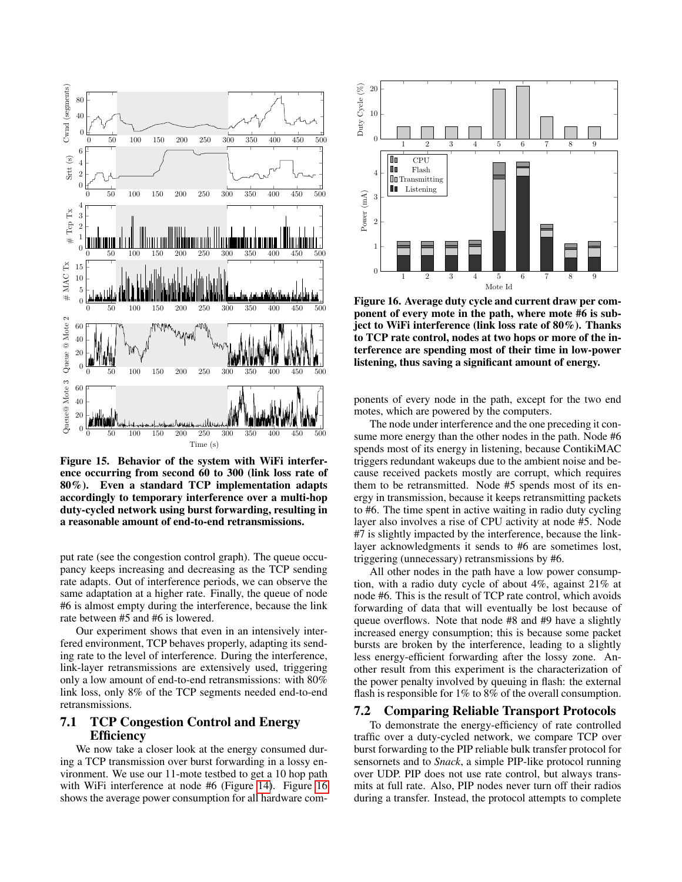

<span id="page-10-1"></span>Figure 15. Behavior of the system with WiFi interference occurring from second 60 to 300 (link loss rate of 80%). Even a standard TCP implementation adapts accordingly to temporary interference over a multi-hop duty-cycled network using burst forwarding, resulting in a reasonable amount of end-to-end retransmissions.

put rate (see the congestion control graph). The queue occupancy keeps increasing and decreasing as the TCP sending rate adapts. Out of interference periods, we can observe the same adaptation at a higher rate. Finally, the queue of node #6 is almost empty during the interference, because the link rate between #5 and #6 is lowered.

Our experiment shows that even in an intensively interfered environment, TCP behaves properly, adapting its sending rate to the level of interference. During the interference, link-layer retransmissions are extensively used, triggering only a low amount of end-to-end retransmissions: with 80% link loss, only 8% of the TCP segments needed end-to-end retransmissions.

# <span id="page-10-0"></span>7.1 TCP Congestion Control and Energy **Efficiency**

We now take a closer look at the energy consumed during a TCP transmission over burst forwarding in a lossy environment. We use our 11-mote testbed to get a 10 hop path with WiFi interference at node #6 (Figure [14\)](#page-9-2). Figure [16](#page-10-2) shows the average power consumption for all hardware com-



<span id="page-10-2"></span>Figure 16. Average duty cycle and current draw per component of every mote in the path, where mote #6 is subject to WiFi interference (link loss rate of 80%). Thanks to TCP rate control, nodes at two hops or more of the interference are spending most of their time in low-power listening, thus saving a significant amount of energy.

ponents of every node in the path, except for the two end motes, which are powered by the computers.

The node under interference and the one preceding it consume more energy than the other nodes in the path. Node #6 spends most of its energy in listening, because ContikiMAC triggers redundant wakeups due to the ambient noise and because received packets mostly are corrupt, which requires them to be retransmitted. Node #5 spends most of its energy in transmission, because it keeps retransmitting packets to #6. The time spent in active waiting in radio duty cycling layer also involves a rise of CPU activity at node #5. Node #7 is slightly impacted by the interference, because the linklayer acknowledgments it sends to #6 are sometimes lost, triggering (unnecessary) retransmissions by #6.

All other nodes in the path have a low power consumption, with a radio duty cycle of about 4%, against 21% at node #6. This is the result of TCP rate control, which avoids forwarding of data that will eventually be lost because of queue overflows. Note that node #8 and #9 have a slightly increased energy consumption; this is because some packet bursts are broken by the interference, leading to a slightly less energy-efficient forwarding after the lossy zone. Another result from this experiment is the characterization of the power penalty involved by queuing in flash: the external flash is responsible for 1% to 8% of the overall consumption.

## 7.2 Comparing Reliable Transport Protocols

To demonstrate the energy-efficiency of rate controlled traffic over a duty-cycled network, we compare TCP over burst forwarding to the PIP reliable bulk transfer protocol for sensornets and to *Snack*, a simple PIP-like protocol running over UDP. PIP does not use rate control, but always transmits at full rate. Also, PIP nodes never turn off their radios during a transfer. Instead, the protocol attempts to complete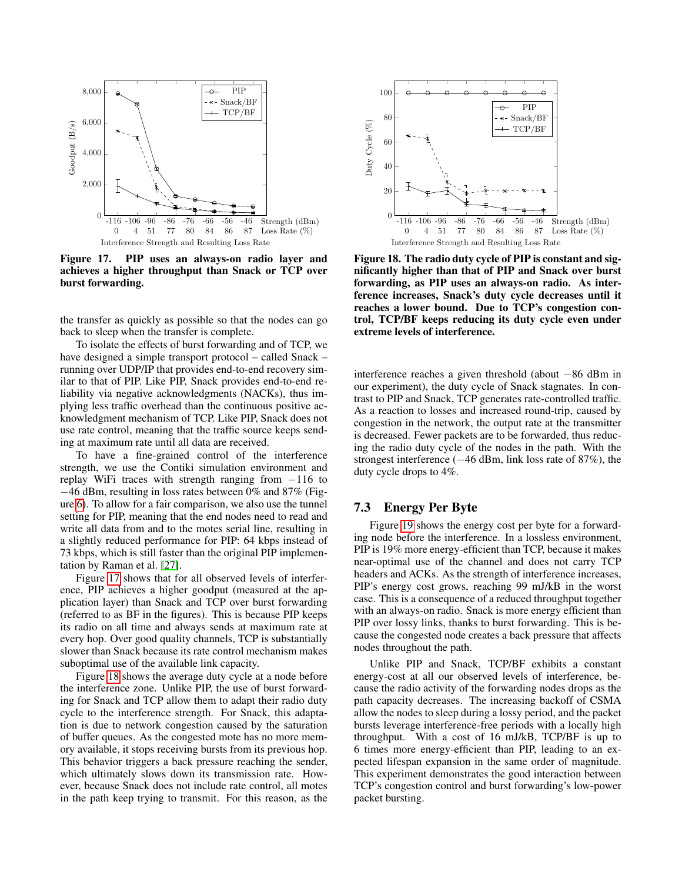

<span id="page-11-0"></span>Figure 17. PIP uses an always-on radio layer and achieves a higher throughput than Snack or TCP over burst forwarding.

the transfer as quickly as possible so that the nodes can go back to sleep when the transfer is complete.

To isolate the effects of burst forwarding and of TCP, we have designed a simple transport protocol – called Snack – running over UDP/IP that provides end-to-end recovery similar to that of PIP. Like PIP, Snack provides end-to-end reliability via negative acknowledgments (NACKs), thus implying less traffic overhead than the continuous positive acknowledgment mechanism of TCP. Like PIP, Snack does not use rate control, meaning that the traffic source keeps sending at maximum rate until all data are received.

To have a fine-grained control of the interference strength, we use the Contiki simulation environment and replay WiFi traces with strength ranging from −116 to −46 dBm, resulting in loss rates between 0% and 87% (Figure [6\)](#page-6-1). To allow for a fair comparison, we also use the tunnel setting for PIP, meaning that the end nodes need to read and write all data from and to the motes serial line, resulting in a slightly reduced performance for PIP: 64 kbps instead of 73 kbps, which is still faster than the original PIP implementation by Raman et al. [\[27\]](#page-13-3).

Figure [17](#page-11-0) shows that for all observed levels of interference, PIP achieves a higher goodput (measured at the application layer) than Snack and TCP over burst forwarding (referred to as BF in the figures). This is because PIP keeps its radio on all time and always sends at maximum rate at every hop. Over good quality channels, TCP is substantially slower than Snack because its rate control mechanism makes suboptimal use of the available link capacity.

Figure [18](#page-11-1) shows the average duty cycle at a node before the interference zone. Unlike PIP, the use of burst forwarding for Snack and TCP allow them to adapt their radio duty cycle to the interference strength. For Snack, this adaptation is due to network congestion caused by the saturation of buffer queues. As the congested mote has no more memory available, it stops receiving bursts from its previous hop. This behavior triggers a back pressure reaching the sender, which ultimately slows down its transmission rate. However, because Snack does not include rate control, all motes in the path keep trying to transmit. For this reason, as the



<span id="page-11-1"></span>Figure 18. The radio duty cycle of PIP is constant and significantly higher than that of PIP and Snack over burst forwarding, as PIP uses an always-on radio. As interference increases, Snack's duty cycle decreases until it reaches a lower bound. Due to TCP's congestion control, TCP/BF keeps reducing its duty cycle even under extreme levels of interference.

interference reaches a given threshold (about −86 dBm in our experiment), the duty cycle of Snack stagnates. In contrast to PIP and Snack, TCP generates rate-controlled traffic. As a reaction to losses and increased round-trip, caused by congestion in the network, the output rate at the transmitter is decreased. Fewer packets are to be forwarded, thus reducing the radio duty cycle of the nodes in the path. With the strongest interference (−46 dBm, link loss rate of 87%), the duty cycle drops to 4%.

## 7.3 Energy Per Byte

Figure [19](#page-12-2) shows the energy cost per byte for a forwarding node before the interference. In a lossless environment, PIP is 19% more energy-efficient than TCP, because it makes near-optimal use of the channel and does not carry TCP headers and ACKs. As the strength of interference increases, PIP's energy cost grows, reaching 99 mJ/kB in the worst case. This is a consequence of a reduced throughput together with an always-on radio. Snack is more energy efficient than PIP over lossy links, thanks to burst forwarding. This is because the congested node creates a back pressure that affects nodes throughout the path.

Unlike PIP and Snack, TCP/BF exhibits a constant energy-cost at all our observed levels of interference, because the radio activity of the forwarding nodes drops as the path capacity decreases. The increasing backoff of CSMA allow the nodes to sleep during a lossy period, and the packet bursts leverage interference-free periods with a locally high throughput. With a cost of 16 mJ/kB, TCP/BF is up to 6 times more energy-efficient than PIP, leading to an expected lifespan expansion in the same order of magnitude. This experiment demonstrates the good interaction between TCP's congestion control and burst forwarding's low-power packet bursting.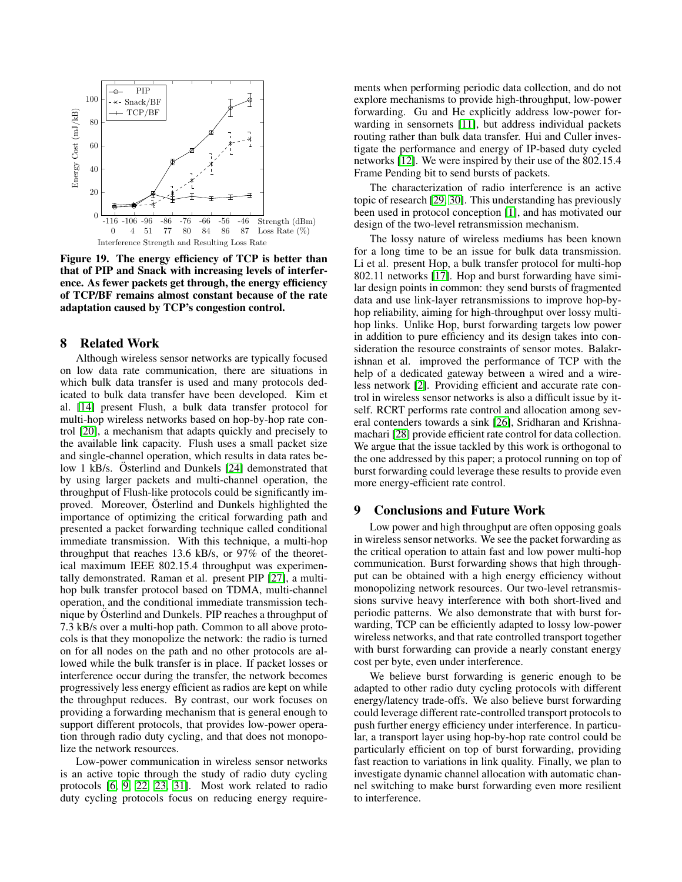

<span id="page-12-2"></span>Figure 19. The energy efficiency of TCP is better than that of PIP and Snack with increasing levels of interference. As fewer packets get through, the energy efficiency of TCP/BF remains almost constant because of the rate adaptation caused by TCP's congestion control.

## <span id="page-12-0"></span>8 Related Work

Although wireless sensor networks are typically focused on low data rate communication, there are situations in which bulk data transfer is used and many protocols dedicated to bulk data transfer have been developed. Kim et al. [\[14\]](#page-13-2) present Flush, a bulk data transfer protocol for multi-hop wireless networks based on hop-by-hop rate control [\[20\]](#page-13-24), a mechanism that adapts quickly and precisely to the available link capacity. Flush uses a small packet size and single-channel operation, which results in data rates be-low 1 kB/s. Österlind and Dunkels [\[24\]](#page-13-4) demonstrated that by using larger packets and multi-channel operation, the throughput of Flush-like protocols could be significantly improved. Moreover, Österlind and Dunkels highlighted the importance of optimizing the critical forwarding path and presented a packet forwarding technique called conditional immediate transmission. With this technique, a multi-hop throughput that reaches 13.6 kB/s, or 97% of the theoretical maximum IEEE 802.15.4 throughput was experimentally demonstrated. Raman et al. present PIP [\[27\]](#page-13-3), a multihop bulk transfer protocol based on TDMA, multi-channel operation, and the conditional immediate transmission technique by Österlind and Dunkels. PIP reaches a throughput of 7.3 kB/s over a multi-hop path. Common to all above protocols is that they monopolize the network: the radio is turned on for all nodes on the path and no other protocols are allowed while the bulk transfer is in place. If packet losses or interference occur during the transfer, the network becomes progressively less energy efficient as radios are kept on while the throughput reduces. By contrast, our work focuses on providing a forwarding mechanism that is general enough to support different protocols, that provides low-power operation through radio duty cycling, and that does not monopolize the network resources.

Low-power communication in wireless sensor networks is an active topic through the study of radio duty cycling protocols [\[6,](#page-13-13) [9,](#page-13-25) [22,](#page-13-26) [23,](#page-13-1) [31\]](#page-13-27). Most work related to radio duty cycling protocols focus on reducing energy requirements when performing periodic data collection, and do not explore mechanisms to provide high-throughput, low-power forwarding. Gu and He explicitly address low-power forwarding in sensornets [\[11\]](#page-13-28), but address individual packets routing rather than bulk data transfer. Hui and Culler investigate the performance and energy of IP-based duty cycled networks [\[12\]](#page-13-15). We were inspired by their use of the 802.15.4 Frame Pending bit to send bursts of packets.

The characterization of radio interference is an active topic of research [\[29,](#page-13-8) [30\]](#page-13-9). This understanding has previously been used in protocol conception [\[1\]](#page-13-29), and has motivated our design of the two-level retransmission mechanism.

The lossy nature of wireless mediums has been known for a long time to be an issue for bulk data transmission. Li et al. present Hop, a bulk transfer protocol for multi-hop 802.11 networks [\[17\]](#page-13-30). Hop and burst forwarding have similar design points in common: they send bursts of fragmented data and use link-layer retransmissions to improve hop-byhop reliability, aiming for high-throughput over lossy multihop links. Unlike Hop, burst forwarding targets low power in addition to pure efficiency and its design takes into consideration the resource constraints of sensor motes. Balakrishnan et al. improved the performance of TCP with the help of a dedicated gateway between a wired and a wireless network [\[2\]](#page-13-20). Providing efficient and accurate rate control in wireless sensor networks is also a difficult issue by itself. RCRT performs rate control and allocation among several contenders towards a sink [\[26\]](#page-13-31), Sridharan and Krishnamachari [\[28\]](#page-13-32) provide efficient rate control for data collection. We argue that the issue tackled by this work is orthogonal to the one addressed by this paper; a protocol running on top of burst forwarding could leverage these results to provide even more energy-efficient rate control.

## <span id="page-12-1"></span>9 Conclusions and Future Work

Low power and high throughput are often opposing goals in wireless sensor networks. We see the packet forwarding as the critical operation to attain fast and low power multi-hop communication. Burst forwarding shows that high throughput can be obtained with a high energy efficiency without monopolizing network resources. Our two-level retransmissions survive heavy interference with both short-lived and periodic patterns. We also demonstrate that with burst forwarding, TCP can be efficiently adapted to lossy low-power wireless networks, and that rate controlled transport together with burst forwarding can provide a nearly constant energy cost per byte, even under interference.

We believe burst forwarding is generic enough to be adapted to other radio duty cycling protocols with different energy/latency trade-offs. We also believe burst forwarding could leverage different rate-controlled transport protocols to push further energy efficiency under interference. In particular, a transport layer using hop-by-hop rate control could be particularly efficient on top of burst forwarding, providing fast reaction to variations in link quality. Finally, we plan to investigate dynamic channel allocation with automatic channel switching to make burst forwarding even more resilient to interference.